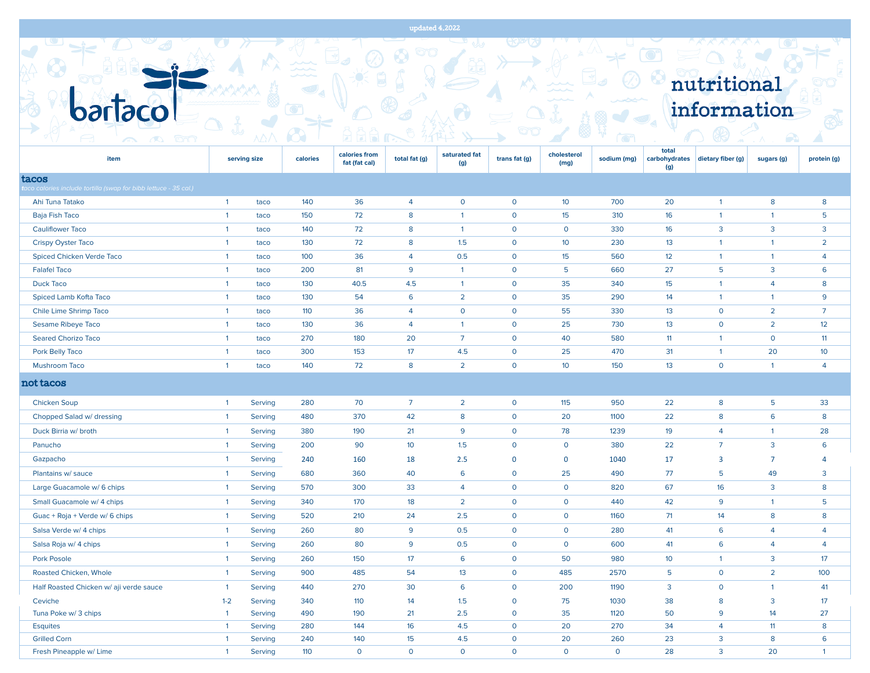$\rightarrow$ 

EXTERNATION

nutritional

| <b>psylsco</b>                                                  |                                |                    |            |                                |                 |                      |                         |                     |                       |                               | information       |                    |                 |  |
|-----------------------------------------------------------------|--------------------------------|--------------------|------------|--------------------------------|-----------------|----------------------|-------------------------|---------------------|-----------------------|-------------------------------|-------------------|--------------------|-----------------|--|
| <u>tona</u><br>$\triangle$                                      |                                | ΛΔ.                |            |                                |                 |                      |                         |                     | $\overline{\bigcirc}$ |                               |                   | $\curvearrowright$ |                 |  |
| item                                                            |                                | serving size       | calories   | calories from<br>fat (fat cal) | total fat (g)   | saturated fat<br>(g) | trans fat (g)           | cholesterol<br>(mg) | sodium (mg)           | total<br>carbohydrates<br>(g) | dietary fiber (g) | sugars (g)         | protein (g)     |  |
| tacos                                                           |                                |                    |            |                                |                 |                      |                         |                     |                       |                               |                   |                    |                 |  |
| aco calories include tortilla (swap for bibb lettuce - 35 cal.) |                                |                    |            |                                |                 |                      |                         |                     |                       |                               |                   |                    |                 |  |
| Ahi Tuna Tatako                                                 | $\mathbf{1}$                   | taco               | 140        | 36                             | 4               | $\mathbf 0$          | $\mathbf 0$             | 10 <sup>°</sup>     | 700                   | 20                            | $\overline{1}$    | 8                  | 8               |  |
| Baja Fish Taco                                                  | $\overline{1}$                 | taco               | 150        | 72                             | 8               | $\mathbf{1}$         | $\mathbf 0$             | 15                  | 310                   | 16                            | $\overline{1}$    | $\mathbf{1}$       | 5               |  |
| <b>Cauliflower Taco</b>                                         | $\mathbf{1}$                   | taco               | 140        | 72                             | 8               | $\mathbf{1}$         | $\mathbf 0$             | $\mathbf{O}$        | 330                   | 16                            | $\overline{3}$    | $\overline{3}$     | 3               |  |
| <b>Crispy Oyster Taco</b>                                       | $\mathbf{1}$                   | taco               | 130        | 72                             | 8               | 1.5                  | $\mathbf 0$             | 10 <sup>°</sup>     | 230                   | 13                            | $\overline{1}$    | $\mathbf{1}$       | $\overline{2}$  |  |
| Spiced Chicken Verde Taco                                       | $\mathbf{1}$                   | taco               | 100        | 36                             | 4               | 0.5                  | $\mathbf 0$             | 15                  | 560                   | 12                            | $\overline{1}$    | $\mathbf{1}$       | 4               |  |
| <b>Falafel Taco</b>                                             | $\mathbf{1}$                   | taco               | 200        | 81                             | 9               | $\overline{1}$       | $\mathbf 0$             | 5                   | 660                   | 27                            | 5                 | $\overline{3}$     | 6               |  |
| <b>Duck Taco</b>                                                | $\overline{1}$                 | taco               | 130        | 40.5                           | 4.5             | $\overline{1}$       | $\mathsf O$             | 35                  | 340                   | 15                            | $\overline{1}$    | $\overline{4}$     | 8               |  |
| Spiced Lamb Kofta Taco                                          | $\mathbf{1}$                   | taco               | 130        | 54                             | 6               | $\overline{2}$       | $\mathsf O$             | 35                  | 290                   | 14                            | $\overline{1}$    | $\mathbf{1}$       | 9               |  |
| Chile Lime Shrimp Taco                                          | $\overline{1}$                 | taco               | 110        | 36                             | $\overline{4}$  | $\mathbf 0$          | $\mathbf 0$             | 55                  | 330                   | 13                            | $\mathbf{O}$      | $\overline{2}$     | $\overline{7}$  |  |
| Sesame Ribeye Taco                                              | $\vert 1 \vert$                | taco               | 130        | 36                             | $\overline{4}$  | $\overline{1}$       | $\mathbf 0$             | 25                  | 730                   | 13                            | $\mathsf{o}$      | $\overline{2}$     | 12              |  |
| <b>Seared Chorizo Taco</b>                                      | $\overline{1}$                 | taco               | 270        | 180                            | 20              | $\overline{7}$       | $\mathbf 0$             | 40                  | 580                   | 11                            | $\overline{1}$    | $\mathbf 0$        | 11              |  |
| Pork Belly Taco                                                 | $\overline{1}$                 | taco               | 300        | 153                            | 17              | 4.5                  | $\mathbf 0$             | 25                  | 470                   | 31                            | $\overline{1}$    | 20                 | 10 <sup>°</sup> |  |
| <b>Mushroom Taco</b>                                            | $\mathbf{1}$                   | taco               | 140        | 72                             | 8               | $\overline{2}$       | $\mathbf 0$             | 10 <sup>°</sup>     | 150                   | 13                            | $\mathsf{o}$      | $\mathbf{1}$       | $\overline{4}$  |  |
| not tacos                                                       |                                |                    |            |                                |                 |                      |                         |                     |                       |                               |                   |                    |                 |  |
| <b>Chicken Soup</b>                                             | $\overline{1}$                 | Serving            | 280        | 70                             | $\overline{7}$  | $\overline{2}$       | $\mathbf 0$             | 115                 | 950                   | 22                            | 8                 | 5                  | 33              |  |
| Chopped Salad w/ dressing                                       | $\mathbf{1}$                   | Serving            | 480        | 370                            | 42              | 8                    | $\mathbf 0$             | 20                  | 1100                  | 22                            | 8                 | 6                  | 8               |  |
| Duck Birria w/ broth                                            | $\mathbf{1}$                   | Serving            | 380        | 190                            | 21              | 9                    | $\mathbf 0$             | 78                  | 1239                  | 19                            | $\overline{4}$    | $\mathbf{1}$       | 28              |  |
| Panucho                                                         | $\mathbf{1}$                   | Serving            | 200        | 90                             | 10 <sup>°</sup> | 1.5                  | $\mathbf 0$             | $\mathsf{O}$        | 380                   | 22                            | $\overline{7}$    | $\overline{3}$     | 6               |  |
| Gazpacho                                                        | $\mathbf{1}$                   | Serving            | 240        | 160                            | 18              | 2.5                  | $\mathbf{0}$            | $\mathbf{0}$        | 1040                  | 17                            | 3                 | $\overline{7}$     | 4               |  |
| Plantains w/ sauce                                              | $\mathbf{1}$                   | Serving            | 680        | 360                            | 40              | 6                    | $\mathbf 0$             | 25                  | 490                   | 77                            | 5                 | 49                 | 3               |  |
| Large Guacamole w/ 6 chips                                      | $\mathbf{1}$                   | Serving            | 570        | 300                            | 33              | $\overline{4}$       | $\mathbf 0$             | $\mathsf{O}$        | 820                   | 67                            | 16                | 3                  | 8               |  |
| Small Guacamole w/ 4 chips                                      | $\overline{1}$                 | Serving            | 340        | 170                            | 18              | $\overline{2}$       | $\mathbf 0$             | $\mathsf{o}$        | 440                   | 42                            | 9                 | $\mathbf{1}$       | 5               |  |
| Guac + Roja + Verde w/ 6 chips                                  | $\mathbf{1}$                   | Serving            | 520        | 210                            | 24              | 2.5                  | $\mathbf 0$             | $\mathsf{o}$        | 1160                  | 71                            | 14                | 8                  | 8               |  |
| Salsa Verde w/ 4 chips                                          | $\overline{1}$                 | Serving            | 260        | 80                             | 9               | 0.5                  | $\mathbf 0$             | $\mathsf{o}$        | 280                   | 41                            | 6                 | 4                  | 4               |  |
| Salsa Roja w/ 4 chips                                           | $\overline{1}$                 | Serving            | 260        | 80                             | 9               | 0.5                  | $\mathbf 0$             | $\mathsf{o}$        | 600                   | 41                            | 6                 | 4                  | 4               |  |
| <b>Pork Posole</b>                                              | $\overline{1}$                 | Serving            | 260        | 150                            | 17              | 6                    | $\mathsf O$             | 50                  | 980                   | 10 <sup>°</sup>               | $\overline{1}$    | $\overline{3}$     | 17              |  |
|                                                                 |                                |                    |            |                                |                 |                      |                         |                     |                       |                               |                   |                    |                 |  |
| Roasted Chicken, Whole                                          | $\overline{1}$                 | Serving            | 900        | 485                            | 54              | 13                   | $\mathsf O$             | 485                 | 2570                  | 5                             | $\mathbf 0$       | $\overline{2}$     | 100             |  |
| Half Roasted Chicken w/ aji verde sauce                         | $\overline{1}$                 | Serving            | 440        | 270                            | 30              | 6                    | $\mathbf 0$             | 200                 | 1190                  | 3                             | $\mathsf{o}$      | $\overline{1}$     | 41              |  |
| Ceviche                                                         | $1 - 2$                        | Serving            | 340        | 110                            | 14              | 1.5                  | $\mathbf 0$             | 75                  | 1030                  | 38                            | 8                 | $\overline{3}$     | 17              |  |
| Tuna Poke w/ 3 chips                                            | $\overline{1}$                 | Serving            | 490        | 190                            | 21              | 2.5                  | $\mathbf 0$             | 35                  | 1120                  | 50                            | 9<br>4            | 14                 | 27              |  |
| <b>Esquites</b><br><b>Grilled Corn</b>                          | $\mathbf{1}$<br>$\overline{1}$ | Serving<br>Serving | 280<br>240 | 144<br>140                     | 16<br>15        | 4.5<br>4.5           | $\mathbf 0$<br>$\Omega$ | 20<br>20            | 270<br>260            | 34<br>23                      | 3                 | 11<br>8            | 8<br>6          |  |
|                                                                 |                                |                    |            |                                |                 |                      |                         |                     |                       |                               |                   |                    |                 |  |

Fresh Pineapple w/ Lime 20 1 Serving 110 0 0 0 0 0 0 0 0 28 3 20 1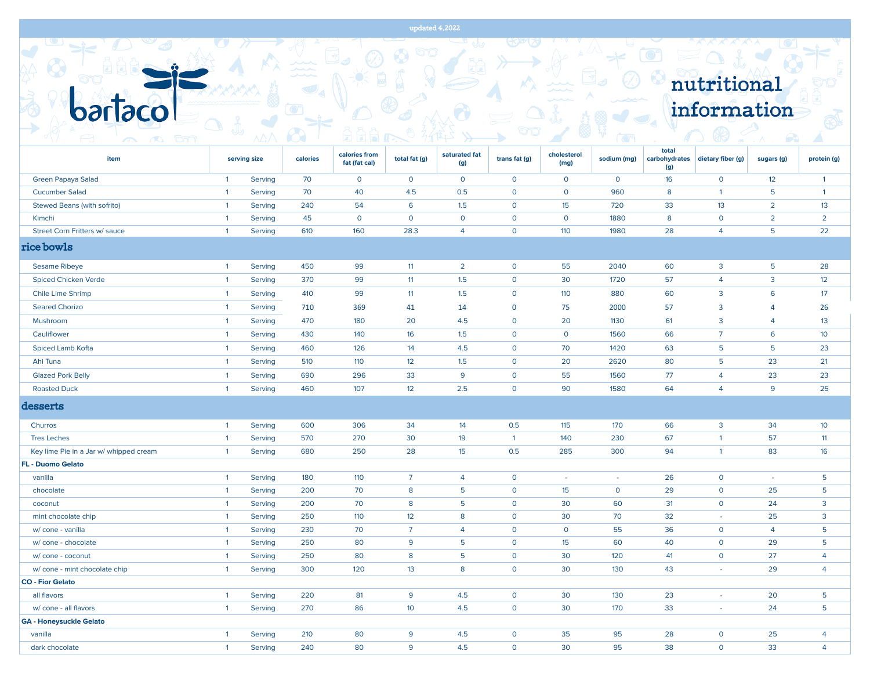|                                        |                |              |          |                                |                 |                      |                |                     |              |                               | nutritional             |                |                 |
|----------------------------------------|----------------|--------------|----------|--------------------------------|-----------------|----------------------|----------------|---------------------|--------------|-------------------------------|-------------------------|----------------|-----------------|
|                                        |                |              |          |                                |                 |                      |                |                     |              |                               | information             |                |                 |
|                                        |                |              |          |                                |                 |                      |                |                     |              |                               |                         |                |                 |
| <b>tonn</b>                            |                |              |          |                                |                 |                      |                |                     |              |                               |                         |                |                 |
| item                                   |                | serving size | calories | calories from<br>fat (fat cal) | total fat (g)   | saturated fat<br>(g) | trans fat (g)  | cholesterol<br>(mg) | sodium (mg)  | total<br>carbohydrates<br>(g) | dietary fiber (g)       | sugars (g)     | protein (g)     |
| Green Papaya Salad                     | $\overline{1}$ | Serving      | 70       | $\mathbf{O}$                   | $\mathsf{o}$    | $\mathsf{o}$         | $\mathsf{o}$   | $\mathsf{o}$        | 0            | 16                            | $\mathsf{o}$            | 12             | $\overline{1}$  |
| <b>Cucumber Salad</b>                  | $\overline{1}$ | Serving      | 70       | 40                             | 4.5             | 0.5                  | $\mathbf 0$    | $\mathsf{o}$        | 960          | 8                             | $\mathbf{1}$            | 5              | $\overline{1}$  |
| Stewed Beans (with sofrito)            | $\overline{1}$ | Serving      | 240      | 54                             | 6               | 1.5                  | $\overline{0}$ | 15                  | 720          | 33                            | 13                      | $\overline{2}$ | 13              |
| Kimchi                                 | $\overline{1}$ | Serving      | 45       | $\mathbf 0$                    | $\mathbf 0$     | $\mathsf{o}$         | $\overline{0}$ | $\mathbf 0$         | 1880         | 8                             | $\mathbf 0$             | $\overline{2}$ | $\overline{2}$  |
| Street Corn Fritters w/ sauce          | $\overline{1}$ | Serving      | 610      | 160                            | 28.3            | 4                    | $\mathbf 0$    | 110                 | 1980         | 28                            | $\overline{4}$          | 5              | 22              |
| rice bowls                             |                |              |          |                                |                 |                      |                |                     |              |                               |                         |                |                 |
| <b>Sesame Ribeye</b>                   | $\overline{1}$ | Serving      | 450      | 99                             | 11              | $\overline{2}$       | $\overline{0}$ | 55                  | 2040         | 60                            | $\overline{3}$          | 5              | 28              |
| <b>Spiced Chicken Verde</b>            | $\overline{1}$ | Serving      | 370      | 99                             | 11              | 1.5                  | $\mathbf 0$    | 30                  | 1720         | 57                            | 4                       | 3              | 12              |
| Chile Lime Shrimp                      | $\overline{1}$ | Serving      | 410      | 99                             | 11              | 1.5                  | $\circ$        | 110                 | 880          | 60                            | 3                       | 6              | 17              |
| <b>Seared Chorizo</b>                  | $\overline{1}$ | Serving      | 710      | 369                            | 41              | 14                   | $\mathbf 0$    | 75                  | 2000         | 57                            | $\overline{\mathbf{3}}$ | $\overline{4}$ | 26              |
| Mushroom                               | $\overline{1}$ | Serving      | 470      | 180                            | 20              | 4.5                  | $\mathbf 0$    | 20                  | 1130         | 61                            | 3                       | 4              | 13              |
| Cauliflower                            | $\overline{1}$ | Serving      | 430      | 140                            | 16              | 1.5                  | $\mathsf{o}$   | $\circ$             | 1560         | 66                            | $\overline{7}$          | 6              | 10 <sup>°</sup> |
| Spiced Lamb Kofta                      | $\overline{1}$ | Serving      | 460      | 126                            | 14              | 4.5                  | $\mathbf 0$    | 70                  | 1420         | 63                            | 5                       | 5              | 23              |
| Ahi Tuna                               | $\overline{1}$ | Serving      | 510      | 110                            | 12              | 1.5                  | $\overline{0}$ | 20                  | 2620         | 80                            | 5                       | 23             | 21              |
| <b>Glazed Pork Belly</b>               | $\overline{1}$ | Serving      | 690      | 296                            | 33              | 9                    | $\mathsf{O}$   | 55                  | 1560         | 77                            | $\overline{4}$          | 23             | 23              |
| <b>Roasted Duck</b>                    | $\overline{1}$ | Serving      | 460      | 107                            | 12              | 2.5                  | $\mathbf 0$    | 90                  | 1580         | 64                            | $\overline{4}$          | 9              | 25              |
| desserts                               |                |              |          |                                |                 |                      |                |                     |              |                               |                         |                |                 |
| Churros                                | $\overline{1}$ | Serving      | 600      | 306                            | 34              | 14                   | 0.5            | 115                 | 170          | 66                            | 3                       | 34             | 10 <sup>°</sup> |
| <b>Tres Leches</b>                     | $\overline{1}$ | Serving      | 570      | 270                            | 30              | 19                   | $\overline{1}$ | 140                 | 230          | 67                            | $\overline{1}$          | 57             | 11              |
| Key lime Pie in a Jar w/ whipped cream | $\overline{1}$ | Serving      | 680      | 250                            | 28              | 15                   | 0.5            | 285                 | 300          | 94                            | $\mathbf{1}$            | 83             | 16              |
| <b>FL - Duomo Gelato</b>               |                |              |          |                                |                 |                      |                |                     |              |                               |                         |                |                 |
| vanilla                                | $\overline{1}$ | Serving      | 180      | 110                            | $\overline{7}$  | 4                    | $\overline{0}$ | $\sim$              | $\sim$       | 26                            | $\mathbf 0$             | $\sim$         | $5\phantom{.0}$ |
| chocolate                              | $\overline{1}$ | Serving      | 200      | 70                             | 8               | 5                    | $\mathbf 0$    | 15                  | $\mathsf{o}$ | 29                            | $\mathbf 0$             | 25             | 5               |
| coconut                                | $\overline{1}$ | Serving      | 200      | 70                             | 8               | 5                    | $\overline{0}$ | 30                  | 60           | 31                            | $\mathbf 0$             | 24             | $\overline{3}$  |
| mint chocolate chip                    | $\overline{1}$ | Serving      | 250      | 110                            | 12              | 8                    | $\mathbf 0$    | 30                  | 70           | 32                            | $\omega$                | 25             | $\overline{3}$  |
| w/ cone - vanilla                      | -1             | Serving      | 230      | 70                             | 7               | 4                    | $\circ$        | $\circ$             | 55           | 36                            | $\circ$                 | 4              | 5               |
| w/ cone - chocolate                    | $\overline{1}$ | Serving      | 250      | 80                             | 9               | 5                    | $\mathsf{O}$   | 15                  | 60           | 40                            | $\mathsf{O}$            | 29             | $5\phantom{.0}$ |
| w/ cone - coconut                      | $\overline{1}$ | Serving      | 250      | 80                             | 8               | 5                    | $\circ$        | 30                  | 120          | 41                            | $\mathbf{O}$            | 27             | $\overline{4}$  |
| w/ cone - mint chocolate chip          | $\overline{1}$ | Serving      | 300      | 120                            | 13              | 8                    | $\mathsf{O}$   | 30                  | 130          | 43                            | $\omega$                | 29             | $\overline{4}$  |
| <b>CO - Fior Gelato</b>                |                |              |          |                                |                 |                      |                |                     |              |                               |                         |                |                 |
| all flavors                            | $\overline{1}$ | Serving      | 220      | 81                             | 9               | 4.5                  | $\overline{O}$ | 30                  | 130          | 23                            | $\sim$                  | 20             | $5\phantom{.0}$ |
| w/ cone - all flavors                  | $\overline{1}$ | Serving      | 270      | 86                             | 10 <sup>°</sup> | 4.5                  | $\circ$        | 30                  | 170          | 33                            | $\sim$                  | 24             | 5 <sup>5</sup>  |
| <b>GA - Honeysuckle Gelato</b>         |                |              |          |                                |                 |                      |                |                     |              |                               |                         |                |                 |
| vanilla                                | $\overline{1}$ | Serving      | 210      | 80                             | 9               | 4.5                  | $\mathbf{O}$   | 35                  | 95           | 28                            | $\circ$                 | 25             | $\overline{4}$  |

dark chocolate 1 Serving 240 80 9 4.5 0 30 95 38 0 33 4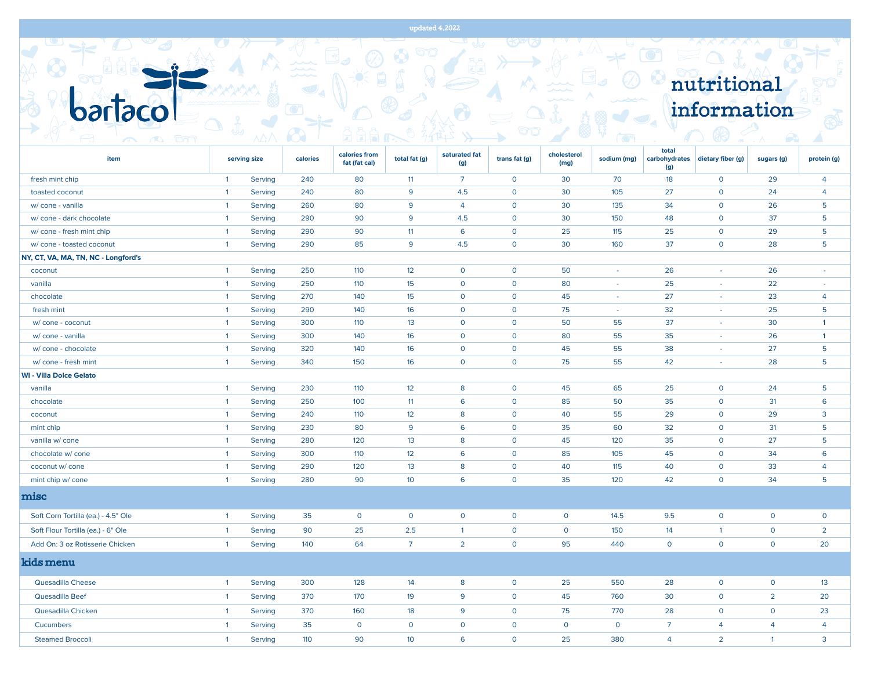|  |             | $A^{\prime\prime\prime}$ $A^{\prime\prime\prime}$ $A^{\prime\prime\prime}$ ) |  |
|--|-------------|------------------------------------------------------------------------------|--|
|  |             |                                                                              |  |
|  | nutritional |                                                                              |  |
|  |             |                                                                              |  |
|  |             |                                                                              |  |
|  | information |                                                                              |  |
|  |             |                                                                              |  |
|  |             |                                                                              |  |

| item                                |                | serving size | calories | calories from<br>fat (fat cal) | total fat (g)   | saturated fat<br>(g) | trans fat (g) | cholesterol<br>(mg) | sodium (mg)  | total<br>carbohydrates<br>(g) | dietary fiber (g) | sugars (g)     | protein (g)              |
|-------------------------------------|----------------|--------------|----------|--------------------------------|-----------------|----------------------|---------------|---------------------|--------------|-------------------------------|-------------------|----------------|--------------------------|
| fresh mint chip                     | $\overline{1}$ | Serving      | 240      | 80                             | 11              | $\overline{7}$       | $\mathsf{o}$  | 30                  | 70           | 18                            | $\mathbf 0$       | 29             | $\overline{4}$           |
| toasted coconut                     | $\overline{1}$ | Serving      | 240      | 80                             | 9               | 4.5                  | $\mathbf 0$   | 30                  | 105          | 27                            | $\mathbf 0$       | 24             | $\overline{4}$           |
| w/ cone - vanilla                   | $\overline{1}$ | Serving      | 260      | 80                             | 9               | $\overline{4}$       | $\mathbf{O}$  | 30                  | 135          | 34                            | $\circ$           | 26             | 5                        |
| w/ cone - dark chocolate            | $\overline{1}$ | Serving      | 290      | 90                             | 9               | 4.5                  | $\mathbf{O}$  | 30                  | 150          | 48                            | $\mathbf 0$       | 37             | 5                        |
| w/ cone - fresh mint chip           | $\overline{1}$ | Serving      | 290      | 90                             | 11              | 6                    | $\circ$       | 25                  | 115          | 25                            | $\circ$           | 29             | 5                        |
| w/ cone - toasted coconut           | $\overline{1}$ | Serving      | 290      | 85                             | 9               | 4.5                  | $\mathbf 0$   | 30                  | 160          | 37                            | $\mathbf{O}$      | 28             | 5                        |
| NY, CT, VA, MA, TN, NC - Longford's |                |              |          |                                |                 |                      |               |                     |              |                               |                   |                |                          |
| coconut                             | $\overline{1}$ | Serving      | 250      | 110                            | 12              | $\mathbf 0$          | $\circ$       | 50                  | $\sim$       | 26                            | $\sim$            | 26             | $\overline{\phantom{a}}$ |
| vanilla                             | $\overline{1}$ | Serving      | 250      | 110                            | 15              | $\overline{0}$       | $\mathbf 0$   | 80                  | $\omega$     | 25                            | $\sim$            | 22             | $\bar{\phantom{a}}$      |
| chocolate                           | $\overline{1}$ | Serving      | 270      | 140                            | 15              | $\overline{0}$       | $\mathbf 0$   | 45                  | $\omega$     | 27                            | $\sim$            | 23             | $\overline{4}$           |
| fresh mint                          | $\overline{1}$ | Serving      | 290      | 140                            | 16              | $\overline{0}$       | $\mathbf 0$   | 75                  | $\omega$     | 32                            | $\sim$            | 25             | $5\phantom{.0}$          |
| w/ cone - coconut                   | $\overline{1}$ | Serving      | 300      | 110                            | 13              | $\mathbf 0$          | $\circ$       | 50                  | 55           | 37                            | ÷.                | 30             | $\overline{1}$           |
| w/ cone - vanilla                   | $\overline{1}$ | Serving      | 300      | 140                            | 16              | $\mathbf{O}$         | $\mathsf{o}$  | 80                  | 55           | 35                            | $\sim$            | 26             | $\overline{1}$           |
| w/ cone - chocolate                 | $\overline{1}$ | Serving      | 320      | 140                            | 16              | $\mathbf{O}$         | $\mathbf 0$   | 45                  | 55           | 38                            | $\sim$            | 27             | 5                        |
| w/ cone - fresh mint                | $\overline{1}$ | Serving      | 340      | 150                            | 16              | $\mathsf{o}$         | $\mathsf{o}$  | 75                  | 55           | 42                            | $\sim$            | 28             | 5                        |
| <b>WI - Villa Dolce Gelato</b>      |                |              |          |                                |                 |                      |               |                     |              |                               |                   |                |                          |
| vanilla                             | $\overline{1}$ | Serving      | 230      | 110                            | 12              | 8                    | $\mathsf{o}$  | 45                  | 65           | 25                            | $\mathbf 0$       | 24             | 5                        |
| chocolate                           | $\overline{1}$ | Serving      | 250      | 100                            | 11              | 6                    | $\mathbf 0$   | 85                  | 50           | 35                            | $\mathbf 0$       | 31             | 6                        |
| coconut                             | $\overline{1}$ | Serving      | 240      | 110                            | 12              | 8                    | $\mathsf{o}$  | 40                  | 55           | 29                            | $\mathbf 0$       | 29             | 3                        |
| mint chip                           | $\overline{1}$ | Serving      | 230      | 80                             | 9               | 6                    | $\mathbf 0$   | 35                  | 60           | 32                            | $\mathsf{O}$      | 31             | 5                        |
| vanilla w/ cone                     | $\overline{1}$ | Serving      | 280      | 120                            | 13              | 8                    | $\circ$       | 45                  | 120          | 35                            | $\mathbf{O}$      | 27             | 5                        |
| chocolate w/ cone                   | $\overline{1}$ | Serving      | 300      | 110                            | 12              | 6                    | $\mathbf 0$   | 85                  | 105          | 45                            | $\circ$           | 34             | 6                        |
| coconut w/ cone                     | $\overline{1}$ | Serving      | 290      | 120                            | 13              | 8                    | $\circ$       | 40                  | 115          | 40                            | $\mathbf{O}$      | 33             | $\overline{4}$           |
| mint chip w/ cone                   | $\overline{1}$ | Serving      | 280      | 90                             | 10 <sup>°</sup> | 6                    | $\mathsf{o}$  | 35                  | 120          | 42                            | $\mathbf 0$       | 34             | 5                        |
| misc                                |                |              |          |                                |                 |                      |               |                     |              |                               |                   |                |                          |
| Soft Corn Tortilla (ea.) - 4.5" Ole | $\overline{1}$ | Serving      | 35       | $\mathsf{O}$                   | $\mathsf{o}$    | $\mathsf{o}$         | $\mathsf{o}$  | $\mathsf{o}$        | 14.5         | 9.5                           | $\mathbf 0$       | $\mathbf 0$    | $\mathsf{o}$             |
| Soft Flour Tortilla (ea.) - 6" Ole  | $\overline{1}$ | Serving      | 90       | 25                             | 2.5             | $\overline{1}$       | $\mathsf{o}$  | $\mathsf{o}$        | 150          | 14                            | $\overline{1}$    | $\mathsf{O}$   | $\overline{2}$           |
| Add On: 3 oz Rotisserie Chicken     | $\overline{1}$ | Serving      | 140      | 64                             | $\overline{7}$  | $\overline{2}$       | $\mathbf{O}$  | 95                  | 440          | $\mathsf{O}$                  | $\mathbf{O}$      | $\mathbf{O}$   | 20                       |
| kids menu                           |                |              |          |                                |                 |                      |               |                     |              |                               |                   |                |                          |
| Quesadilla Cheese                   | $\overline{1}$ | Serving      | 300      | 128                            | 14              | 8                    | $\mathsf{o}$  | 25                  | 550          | 28                            | $\mathbf 0$       | $\mathsf{O}$   | 13                       |
| Quesadilla Beef                     | $\overline{1}$ | Serving      | 370      | 170                            | 19              | 9                    | $\circ$       | 45                  | 760          | 30                            | $\circ$           | $\overline{2}$ | 20                       |
| Quesadilla Chicken                  | $\overline{1}$ | Serving      | 370      | 160                            | 18              | 9                    | $\circ$       | 75                  | 770          | 28                            | $\mathbf 0$       | $\mathsf{O}$   | 23                       |
| Cucumbers                           | $\overline{1}$ | Serving      | 35       | $\mathsf{O}$                   | $\mathsf{o}$    | $\mathbf 0$          | $\mathbf 0$   | $\mathsf O$         | $\mathbf{O}$ | $\overline{7}$                | $\overline{4}$    | $\overline{4}$ | $\overline{4}$           |
| <b>Steamed Broccoli</b>             | $\overline{1}$ | Serving      | 110      | 90                             | 10 <sup>°</sup> | 6                    | $\Omega$      | 25                  | 380          | $\overline{4}$                | $\overline{2}$    | $\overline{1}$ | $\mathbf{3}$             |